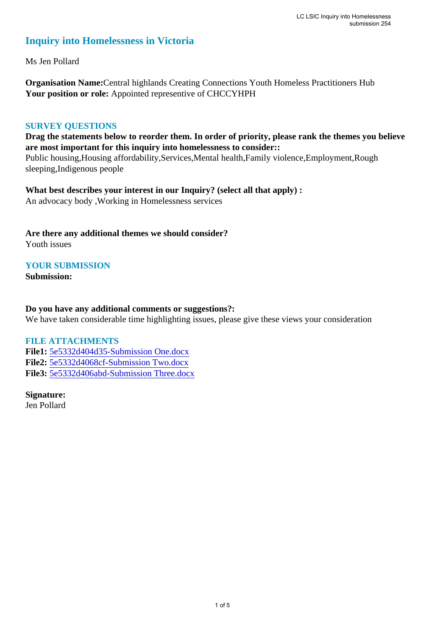## **Inquiry into Homelessness in Victoria**

Ms Jen Pollard

**Organisation Name:**Central highlands Creating Connections Youth Homeless Practitioners Hub **Your position or role:** Appointed representive of CHCCYHPH

## **SURVEY QUESTIONS**

**Drag the statements below to reorder them. In order of priority, please rank the themes you believe are most important for this inquiry into homelessness to consider::** 

Public housing,Housing affordability,Services,Mental health,Family violence,Employment,Rough sleeping,Indigenous people

**What best describes your interest in our Inquiry? (select all that apply) :**  An advocacy body ,Working in Homelessness services

**Are there any additional themes we should consider?** Youth issues

**YOUR SUBMISSION**

**Submission:** 

## **Do you have any additional comments or suggestions?:**

We have taken considerable time highlighting issues, please give these views your consideration

## **FILE ATTACHMENTS**

**File1:** [5e5332d404d35-Submission One.docx](https://www.parliament.vic.gov.au/component/rsform/submission-view-file/dbfec286d7257584e690fd791b54ca7d/98112e56ada1ade6462c096ce52ab6d8?Itemid=527) **File2:** [5e5332d4068cf-Submission Two.docx](https://www.parliament.vic.gov.au/component/rsform/submission-view-file/15e5f949997c00ec1e3c59366393f41a/d96fa72fdc8e803b145053edd707fe7d?Itemid=527) **File3:** [5e5332d406abd-Submission Three.docx](https://www.parliament.vic.gov.au/component/rsform/submission-view-file/15691112ad9916fcbda4a4774e47e025/9b687636a789efa8aefbf2ce3cced82c?Itemid=527)

**Signature:** Jen Pollard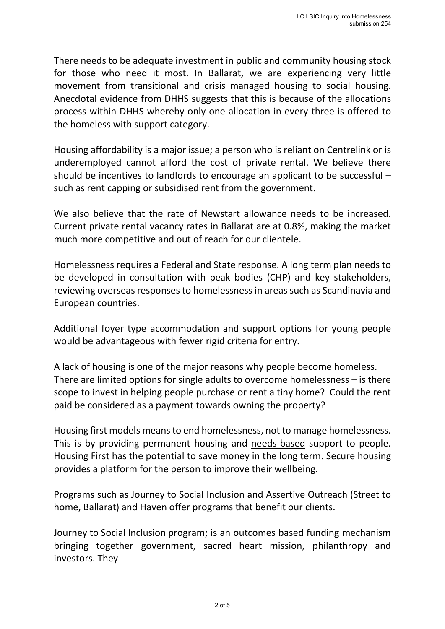There needs to be adequate investment in public and community housing stock for those who need it most. In Ballarat, we are experiencing very little movement from transitional and crisis managed housing to social housing. Anecdotal evidence from DHHS suggests that this is because of the allocations process within DHHS whereby only one allocation in every three is offered to the homeless with support category.

Housing affordability is a major issue; a person who is reliant on Centrelink or is underemployed cannot afford the cost of private rental. We believe there should be incentives to landlords to encourage an applicant to be successful – such as rent capping or subsidised rent from the government.

We also believe that the rate of Newstart allowance needs to be increased. Current private rental vacancy rates in Ballarat are at 0.8%, making the market much more competitive and out of reach for our clientele.

Homelessness requires a Federal and State response. A long term plan needs to be developed in consultation with peak bodies (CHP) and key stakeholders, reviewing overseas responses to homelessness in areas such as Scandinavia and European countries.

Additional foyer type accommodation and support options for young people would be advantageous with fewer rigid criteria for entry.

A lack of housing is one of the major reasons why people become homeless. There are limited options for single adults to overcome homelessness – is there scope to invest in helping people purchase or rent a tiny home? Could the rent paid be considered as a payment towards owning the property?

Housing first models means to end homelessness, not to manage homelessness. This is by providing permanent housing and needs-based support to people. Housing First has the potential to save money in the long term. Secure housing provides a platform for the person to improve their wellbeing.

Programs such as Journey to Social Inclusion and Assertive Outreach (Street to home, Ballarat) and Haven offer programs that benefit our clients.

Journey to Social Inclusion program; is an outcomes based funding mechanism bringing together government, sacred heart mission, philanthropy and investors. They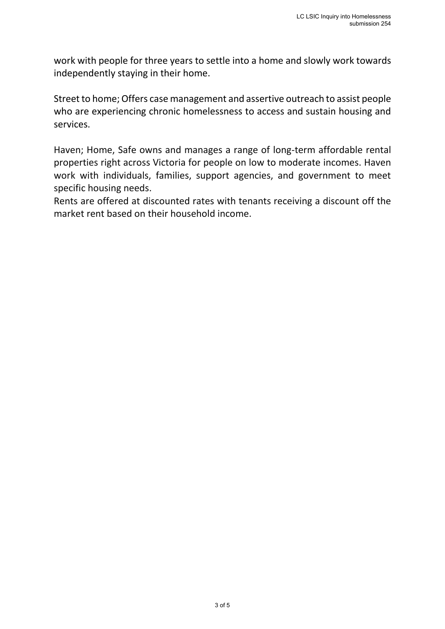work with people for three years to settle into a home and slowly work towards independently staying in their home.

Street to home; Offers case management and assertive outreach to assist people who are experiencing chronic homelessness to access and sustain housing and services.

Haven; Home, Safe owns and manages a range of long-term affordable rental properties right across Victoria for people on low to moderate incomes. Haven work with individuals, families, support agencies, and government to meet specific housing needs.

Rents are offered at discounted rates with tenants receiving a discount off the market rent based on their household income.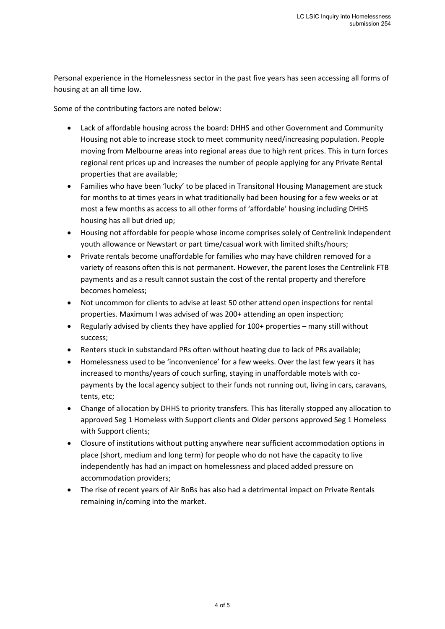Personal experience in the Homelessness sector in the past five years has seen accessing all forms of housing at an all time low.

Some of the contributing factors are noted below:

- Lack of affordable housing across the board: DHHS and other Government and Community Housing not able to increase stock to meet community need/increasing population. People moving from Melbourne areas into regional areas due to high rent prices. This in turn forces regional rent prices up and increases the number of people applying for any Private Rental properties that are available;
- Families who have been 'lucky' to be placed in Transitonal Housing Management are stuck for months to at times years in what traditionally had been housing for a few weeks or at most a few months as access to all other forms of 'affordable' housing including DHHS housing has all but dried up;
- Housing not affordable for people whose income comprises solely of Centrelink Independent youth allowance or Newstart or part time/casual work with limited shifts/hours;
- Private rentals become unaffordable for families who may have children removed for a variety of reasons often this is not permanent. However, the parent loses the Centrelink FTB payments and as a result cannot sustain the cost of the rental property and therefore becomes homeless;
- Not uncommon for clients to advise at least 50 other attend open inspections for rental properties. Maximum I was advised of was 200+ attending an open inspection;
- Regularly advised by clients they have applied for 100+ properties many still without success;
- Renters stuck in substandard PRs often without heating due to lack of PRs available;
- Homelessness used to be 'inconvenience' for a few weeks. Over the last few years it has increased to months/years of couch surfing, staying in unaffordable motels with copayments by the local agency subject to their funds not running out, living in cars, caravans, tents, etc;
- Change of allocation by DHHS to priority transfers. This has literally stopped any allocation to approved Seg 1 Homeless with Support clients and Older persons approved Seg 1 Homeless with Support clients;
- Closure of institutions without putting anywhere near sufficient accommodation options in place (short, medium and long term) for people who do not have the capacity to live independently has had an impact on homelessness and placed added pressure on accommodation providers;
- The rise of recent years of Air BnBs has also had a detrimental impact on Private Rentals remaining in/coming into the market.